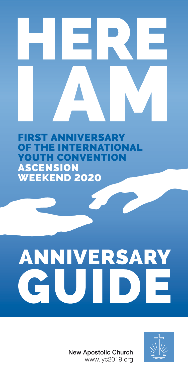FIRST ANNIVERSARY **ATIONAL** OUTH CONVENTION ASCENSION WEEKEND 2020

# **ANNIVERSARY** U D

New Apostolic Church www.iyc2019.org

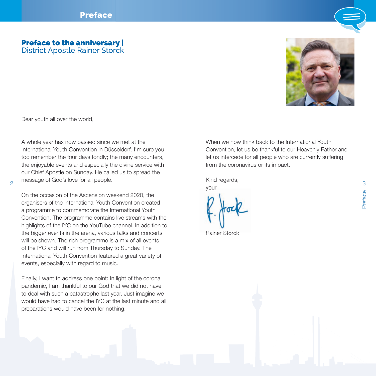### Preface to the anniversary | District Apostle Rainer Storck



Dear youth all over the world,

 $\frac{1}{2}$   $\frac{1}{2}$   $\frac{1}{2}$   $\frac{1}{2}$   $\frac{1}{2}$   $\frac{1}{2}$   $\frac{1}{2}$   $\frac{1}{2}$   $\frac{1}{2}$   $\frac{1}{2}$   $\frac{1}{2}$   $\frac{1}{2}$   $\frac{1}{2}$   $\frac{1}{2}$   $\frac{1}{2}$   $\frac{1}{2}$   $\frac{1}{2}$   $\frac{1}{2}$   $\frac{1}{2}$   $\frac{1}{2}$   $\frac{1}{2}$   $\frac{1}{2}$  A whole year has now passed since we met at the International Youth Convention in Düsseldorf. I'm sure you too remember the four days fondly; the many encounters, the enjoyable events and especially the divine service with our Chief Apostle on Sunday. He called us to spread the message of God's love for all people.

On the occasion of the Ascension weekend 2020, the organisers of the International Youth Convention created a programme to commemorate the International Youth Convention. The programme contains live streams with the highlights of the IYC on the YouTube channel. In addition to the bigger events in the arena, various talks and concerts will be shown. The rich programme is a mix of all events of the IYC and will run from Thursday to Sunday. The International Youth Convention featured a great variety of events, especially with regard to music.

Finally, I want to address one point: In light of the corona pandemic, I am thankful to our God that we did not have to deal with such a catastrophe last year. Just imagine we would have had to cancel the IYC at the last minute and all preparations would have been for nothing.

When we now think hack to the International Youth Convention, let us be thankful to our Heavenly Father and let us intercede for all people who are currently suffering from the coronavirus or its impact.

Kind regards,

your

Rainer Storck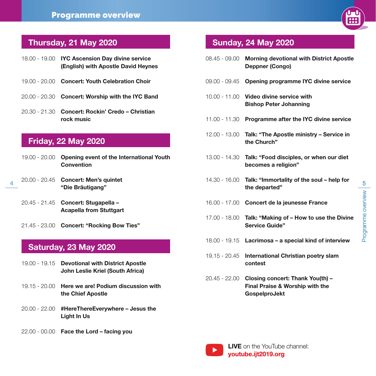

# Thursday, 21 May 2020

| 18.00 - 19.00 IYC Ascension Day divine service<br>(English) with Apostle David Heynes |
|---------------------------------------------------------------------------------------|
| 19.00 - 20.00 Concert: Youth Celebration Choir                                        |
| 20.00 - 20.30 Concert: Worship with the IYC Band                                      |
| 20.30 - 21.30 <b>Concert: Rockin' Credo – Christian</b><br>rock music                 |

# Friday, 22 May 2020

- 19.00 20.00 Opening event of the International Youth Convention
- 20.00 20.45 Concert: Men's quintet "Die Bräutigang"
	- 20.45 21.45 Concert: Stugapella Acapella from Stuttgart
	- 21.45 23.00 Concert: "Rocking Bow Ties"

# Saturday, 23 May 2020

- 19.00 19.15 Devotional with District Apostle John Leslie Kriel (South Africa)
- 19.15 20.00 Here we are! Podium discussion with the Chief Apostle
- 20.00 22.00 #HereThereEverywhere Jesus the Light In Us
- 22.00 00.00 Face the Lord facing you

# Sunday, 24 May 2020

|                            |               | 18.00 - 19.00 IYC Ascension Day divine service<br>(English) with Apostle David Heynes | 08.45 - 09.00                                           | <b>Morning devotional with District Apostle</b><br><b>Deppner (Congo)</b> |             |
|----------------------------|---------------|---------------------------------------------------------------------------------------|---------------------------------------------------------|---------------------------------------------------------------------------|-------------|
|                            |               | 19.00 - 20.00 Concert: Youth Celebration Choir                                        |                                                         | 09.00 - 09.45 Opening programme IYC divine service                        |             |
|                            |               | 20.00 - 20.30 Concert: Worship with the IYC Band                                      | $10.00 - 11.00$                                         | Video divine service with<br><b>Bishop Peter Johanning</b>                |             |
|                            |               | 20.30 - 21.30 Concert: Rockin' Credo – Christian<br>rock music                        |                                                         | 11.00 - 11.30 Programme after the IYC divine service                      |             |
| <b>Friday, 22 May 2020</b> |               | 12.00 - 13.00                                                                         | Talk: "The Apostle ministry – Service in<br>the Church" |                                                                           |             |
|                            | 19.00 - 20.00 | Opening event of the International Youth<br><b>Convention</b>                         | 13.00 - 14.30                                           | Talk: "Food disciples, or when our diet<br>becomes a religion"            |             |
|                            | 20.00 - 20.45 | <b>Concert: Men's quintet</b><br>"Die Bräutigang"                                     | 14.30 - 16.00                                           | Talk: "Immortality of the soul – help for<br>the departed"                | $rac{5}{2}$ |
|                            |               | 20.45 - 21.45 Concert: Stugapella -<br><b>Acapella from Stuttgart</b>                 |                                                         | 16.00 - 17.00 Concert de la jeunesse France                               | WAMAN       |
|                            |               | 21.45 - 23.00 Concert: "Rocking Bow Ties"                                             | 17.00 - 18.00                                           | Talk: "Making of - How to use the Divine<br><b>Service Guide"</b>         |             |
|                            |               | Saturday, 23 May 2020                                                                 |                                                         | $18.00 - 19.15$ Lacrimosa – a special kind of interview                   |             |
|                            |               |                                                                                       |                                                         | 19.15 - 20.45 International Christian poetry slam                         |             |

- contest
- 20.45 22.00 Closing concert: Thank You(th) Final Praise & Worship with the GospelproJekt

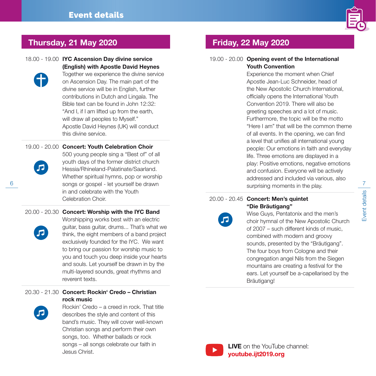

# Thursday, 21 May 2020 Friday, 22 May 2020

18.00 - 19.00 IYC Ascension Day divine service (English) with Apostle David Heynes



Together we experience the divine service on Ascension Day. The main part of the divine service will be in English, further contributions in Dutch and Lingala. The Bible text can be found in John 12:32: "And I, if I am lifted up from the earth, will draw all peoples to Myself." Apostle David Heynes (UK) will conduct this divine service.

### 19.00 - 20.00 Concert: Youth Celebration Choir



500 young people sing a "Best of" of all youth days of the former district church Hessia/Rhineland-Palatinate/Saarland. Whether spiritual hymns, pop or worship in and celebrate with the Youth Celebration Choir.

#### 20.00 - 20.30 Concert: Worship with the IYC Band

Worshipping works best with an electric guitar, bass guitar, drums... That's what we think, the eight members of a band project exclusively founded for the IYC. We want to bring our passion for worship music to you and touch you deep inside your hearts and souls. Let yourself be drawn in by the multi-layered sounds, great rhythms and reverent texts.

#### 20.30 - 21.30 Concert: Rockin' Credo – Christian rock music



Rockin' Credo – a creed in rock. That title describes the style and content of this band's music. They will cover well-known Christian songs and perform their own songs, too. Whether ballads or rock songs – all songs celebrate our faith in Jesus Christ.

#### 19.00 - 20.00 Opening event of the International Youth Convention

 $^6$  8  $^{\circ}$  7songs or gospel - let yourself be drawn  $^{\circ}$  7songs or gospel - let yourself be drawn  $^{\circ}$ Experience the moment when Chief Apostle Jean-Luc Schneider, head of the New Apostolic Church International, officially opens the International Youth Convention 2019. There will also be greeting speeches and a lot of music. Furthermore, the topic will be the motto "Here I am" that will be the common theme of all events. In the opening, we can find a level that unifies all international young people: Our emotions in faith and everyday life. Three emotions are displayed in a play: Positive emotions, negative emotions and confusion. Everyone will be actively addressed and included via various, also surprising moments in the play.

#### 20.00 - 20.45 Concert: Men's quintet "Die Bräutigang"



Wise Guys, Pentatonix and the men's choir hymnal of the New Apostolic Church of 2007 – such different kinds of music, combined with modern and groovy sounds, presented by the "Bräutigang". The four boys from Cologne and their congregation angel Nils from the Siegen mountains are creating a festival for the ears. Let yourself be a-capellarised by the Bräutigang!



LIVE on the YouTube channel: youtube.ijt2019.org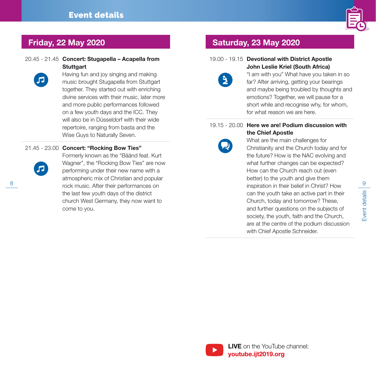

#### 20.45 - 21.45 Concert: Stugapella – Acapella from **Stuttgart**



Having fun and joy singing and making music brought Stugapella from Stuttgart together. They started out with enriching divine services with their music, later more and more public performances followed on a few youth days and the ICC. They will also be in Düsseldorf with their wide repertoire, ranging from basta and the Wise Guys to Naturally Seven.

#### 21.45 - 23.00 Concert: "Rocking Bow Ties"



 $\frac{8}{2}$  rock music. After their performances on  $\frac{9}{2}$  inspiration in their belief in Christ? How  $\frac{9}{2}$ Formerly known as the "Bäänd feat. Kurt Wagner", the "Rocking Bow Ties" are now performing under their new name with a atmospheric mix of Christian and popular the last few youth days of the district church West Germany, they now want to come to you.

## Friday, 22 May 2020 Saturday, 23 May 2020

#### 19.00 - 19.15 Devotional with District Apostle John Leslie Kriel (South Africa)



"I am with you" What have you taken in so far? After arriving, getting your bearings and maybe being troubled by thoughts and emotions? Together, we will pause for a short while and recognise why, for whom, for what reason we are here.



19.15 - 20.00 Here we are! Podium discussion with the Chief Apostle What are the main challenges for

> Christianity and the Church today and for the future? How is the NAC evolving and what further changes can be expected? How can the Church reach out (even better) to the youth and give them inspiration in their belief in Christ? How can the youth take an active part in their Church, today and tomorrow? These, and further questions on the subjects of society, the youth, faith and the Church, are at the centre of the podium discussion with Chief Apostle Schneider.

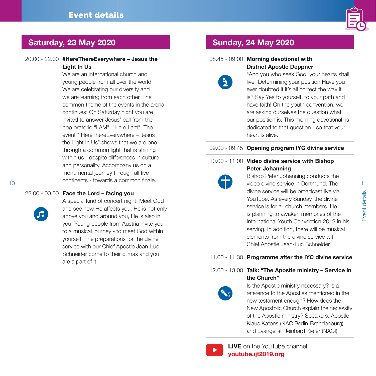

## Saturday, 23 May 2020 Sunday, 24 May 2020

#### 20.00 - 22.00 #HereThereEverywhere – Jesus the Light In Us

We are an international church and young people from all over the world. We are celebrating our diversity and we are learning from each other. The common theme of the events in the arena continues: On Saturday night you are invited to answer Jesus' call from the pop oratorio "I AM": "Here I am". The event "'HereThereEverywhere – Jesus the Light In Us" shows that we are one through a common light that is shining within us - despite differences in culture and personality. Accompany us on a monumental journey through all five continents - towards a common finale.

#### 22.00 - 00.00 Face the Lord – facing you



A special kind of concert night: Meet God and see how He affects you. He is not only above you and around you, He is also in you. Young people from Austria invite you to a musical journey - to meet God within yourself. The preparations for the divine service with our Chief Apostle Jean-Luc Schneider come to their climax and you are a part of it.

 $\mathbf{B}$ 

#### 08.45 - 09.00 Morning devotional with District Apostle Deppner

"And you who seek God, your hearts shall live" Determining your position Have you ever doubted if it's all correct the way it is? Say Yes to yourself, to your path and have faith! On the youth convention, we are asking ourselves the question what our position is. This morning devotional is dedicated to that question - so that your heart is alive.

#### 09.00 - 09.45 Opening program IYC divine service

#### 10.00 - 11.00 Video divine service with Bishop Peter Johanning

10 **10** 11 **11video divine service in Dortmund. The** 11 Bishop Peter Johanning conducts the divine service will be broadcast live via YouTube. As every Sunday, the divine service is for all church members. He is planning to awaken memories of the International Youth Convention 2019 in his serving. In addition, there will be musical elements from the divine service with Chief Apostle Jean-Luc Schneider.

#### 11.00 - 11.30 Programme after the IYC divine service

#### 12.00 - 13.00 Talk: "The Apostle ministry – Service in the Church"



Is the Apostle ministry necessary? Is a reference to the Apostles mentioned in the new testament enough? How does the New Apostolic Church explain the necessity of the Apostle ministry? Speakers: Apostle Klaus Katens (NAC Berlin-Brandenburg) and Evangelist Reinhard Kiefer (NACI)



LIVE on the YouTube channel: youtube.ijt2019.org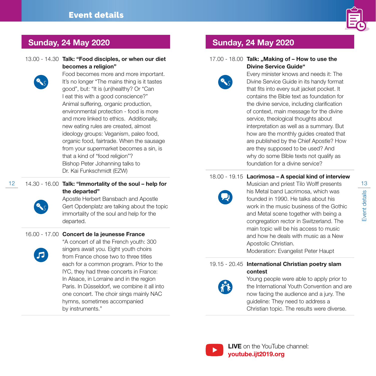

# Sunday, 24 May 2020 Sunday, 24 May 2020

13.00 - 14.30 Talk: "Food disciples, or when our diet becomes a religion"



Food becomes more and more important. It's no longer "The mains thing is it tastes good", but: "It is (un)healthy? Or "Can I eat this with a good conscience?" Animal suffering, organic production, environmental protection - food is more and more linked to ethics. Additionally, new eating rules are created, almost ideology groups: Veganism, paleo food, organic food, fairtrade. When the sausage from your supermarket becomes a sin, is that a kind of "food religion"? Bishop Peter Johanning talks to Dr. Kai Funkschmidt (EZW)

12 14.30 - 16.00 Talk: "Immortality of the soul – help for The Musician and priest Tilo Wolff presents 13 the departed"



# Apostle Herbert Bansbach and Apostle

Gert Opdenplatz are talking about the topic immortality of the soul and help for the departed.

### 16.00 - 17.00 Concert de la jeunesse France



"A concert of all the French youth: 300 singers await you. Eight youth choirs from France chose two to three titles each for a common program. Prior to the IYC, they had three concerts in France: In Alsace, in Lorraine and in the region Paris. In Düsseldorf, we combine it all into one concert. The choir sings mainly NAC hymns, sometimes accompanied by instruments."

#### 17.00 - 18.00 Talk: "Making of - How to use the Divine Service Guide"



Every minister knows and needs it: The Divine Service Guide in its handy format that fits into every suit jacket pocket. It contains the Bible text as foundation for the divine service, including clarification of context, main message for the divine service, theological thoughts about interpretation as well as a summary. But how are the monthly guides created that are published by the Chief Apostle? How are they supposed to be used? And why do some Bible texts not qualify as foundation for a divine service?

### 18.00 - 19.15 Lacrimosa – A special kind of interview



Musician and priest Tilo Wolff presents his Metal band Lacrimosa, which was founded in 1990. He talks about his work in the music business of the Gothic and Metal scene together with being a congregation rector in Switzerland. The main topic will be his access to music and how he deals with music as a New Apostolic Christian.

Moderation: Evangelist Peter Haupt

### 19.15 - 20.45 International Christian poetry slam contest



### Young people were able to apply prior to the International Youth Convention and are now facing the audience and a jury. The guideline: They need to address a Christian topic. The results were diverse.



LIVE on the YouTube channel: youtube.ijt2019.org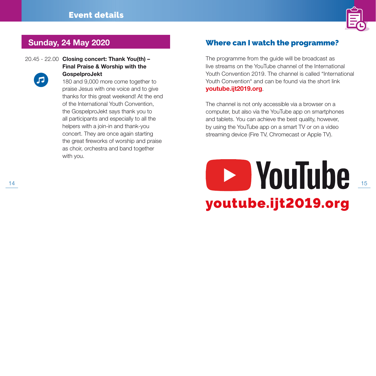

# Sunday, 24 May 2020



20.45 - 22.00 Closing concert: Thank You(th) – Final Praise & Worship with the GospelproJekt

> 180 and 9,000 more come together to praise Jesus with one voice and to give thanks for this great weekend! At the end of the International Youth Convention, the GospelproJekt says thank you to all participants and especially to all the helpers with a join-in and thank-you concert. They are once again starting the great fireworks of worship and praise as choir, orchestra and band together with you.

### Where can I watch the programme?

The programme from the guide will be broadcast as live streams on the YouTube channel of the International Youth Convention 2019. The channel is called "International Youth Convention" and can be found via the short link youtube.ijt2019.org.

The channel is not only accessible via a browser on a computer, but also via the YouTube app on smartphones and tablets. You can achieve the best quality, however, by using the YouTube app on a smart TV or on a video streaming device (Fire TV, Chromecast or Apple TV).

youtube.ijt2019.org <u>Experience</u> to the set of the set of the set of the set of the set of the set of the set of the set of the set of the set of the set of the set of the set of the set of the set of the set of the set of the set of the set